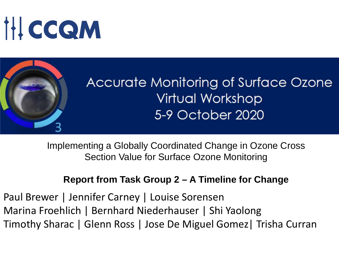# **IHCCQM**



Implementing a Globally Coordinated Change in Ozone Cross Section Value for Surface Ozone Monitoring

#### **Report from Task Group 2 – A Timeline for Change**

Paul Brewer | Jennifer Carney | Louise Sorensen Marina Froehlich | Bernhard Niederhauser | Shi Yaolong Timothy Sharac | Glenn Ross | Jose De Miguel Gomez| Trisha Curran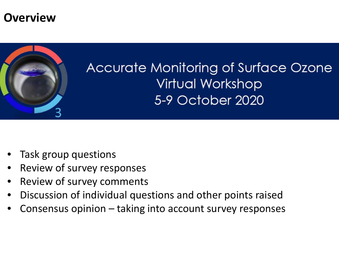## **Overview**



# **Accurate Monitoring of Surface Ozone Virtual Workshop** 5-9 October 2020

- Task group questions
- Review of survey responses
- Review of survey comments
- Discussion of individual questions and other points raised
- Consensus opinion taking into account survey responses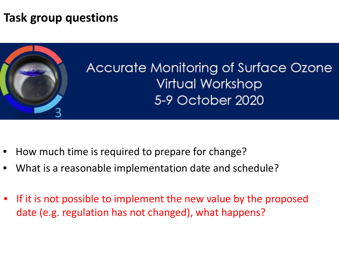## **Task group questions**



# Accurate Monitoring of Surface Ozone **Virtual Workshop** 5-9 October 2020

- How much time is required to prepare for change?
- What is a reasonable implementation date and schedule?
- If it is not possible to implement the new value by the proposed date (e.g. regulation has not changed), what happens?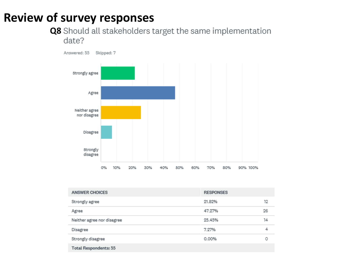## **Review of survey responses**

#### **Q8** Should all stakeholders target the same implementation date?



| <b>ANSWER CHOICES</b>        | <b>RESPONSES</b> |    |
|------------------------------|------------------|----|
| Strongly agree               | 21.82%           | 12 |
| Agree                        | 47.27%           | 26 |
| Neither agree nor disagree   | 25.45%           | 14 |
| Disagree                     | 7.27%            | 4  |
| Strongly disagree            | 0.00%            | ο  |
| <b>Total Respondents: 55</b> |                  |    |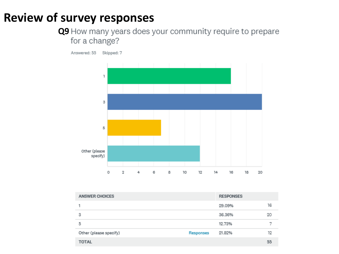## **Review of survey responses**

# **Q9** How many years does your community require to prepare for a change?



| <b>ANSWER CHOICES</b>  |           | <b>RESPONSES</b> |    |
|------------------------|-----------|------------------|----|
|                        |           | 29.09%           | 16 |
| 3                      |           | 36.36%           | 20 |
| 5                      |           | 12.73%           | ¬  |
| Other (please specify) | Responses | 21.82%           | 12 |
| <b>TOTAL</b>           |           |                  | 55 |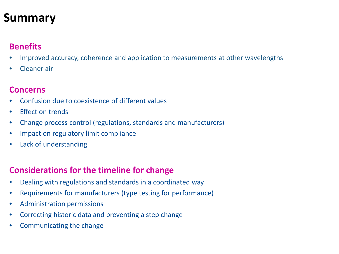## **Summary**

#### **Benefits**

- Improved accuracy, coherence and application to measurements at other wavelengths
- Cleaner air

#### **Concerns**

- Confusion due to coexistence of different values
- Effect on trends
- Change process control (regulations, standards and manufacturers)
- Impact on regulatory limit compliance
- Lack of understanding

#### **Considerations for the timeline for change**

- Dealing with regulations and standards in a coordinated way
- Requirements for manufacturers (type testing for performance)
- Administration permissions
- Correcting historic data and preventing a step change
- Communicating the change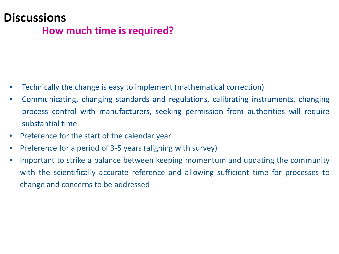### **Discussions How much time is required?**

- Technically the change is easy to implement (mathematical correction)
- Communicating, changing standards and regulations, calibrating instruments, changing process control with manufacturers, seeking permission from authorities will require substantial time
- Preference for the start of the calendar year
- Preference for a period of 3-5 years (aligning with survey)
- Important to strike a balance between keeping momentum and updating the community with the scientifically accurate reference and allowing sufficient time for processes to change and concerns to be addressed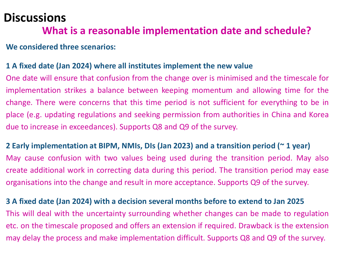## **Discussions**

#### **What is a reasonable implementation date and schedule?**

#### **We considered three scenarios:**

#### **1 A fixed date (Jan 2024) where all institutes implement the new value**

One date will ensure that confusion from the change over is minimised and the timescale for implementation strikes a balance between keeping momentum and allowing time for the change. There were concerns that this time period is not sufficient for everything to be in place (e.g. updating regulations and seeking permission from authorities in China and Korea due to increase in exceedances). Supports Q8 and Q9 of the survey.

**2 Early implementation at BIPM, NMIs, DIs (Jan 2023) and a transition period (~ 1 year)** May cause confusion with two values being used during the transition period. May also create additional work in correcting data during this period. The transition period may ease organisations into the change and result in more acceptance. Supports Q9 of the survey.

**3 A fixed date (Jan 2024) with a decision several months before to extend to Jan 2025** This will deal with the uncertainty surrounding whether changes can be made to regulation etc. on the timescale proposed and offers an extension if required. Drawback is the extension may delay the process and make implementation difficult. Supports Q8 and Q9 of the survey.